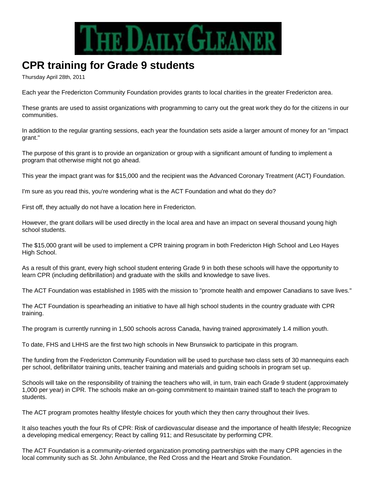

## **CPR training for Grade 9 students**

Thursday April 28th, 2011

Each year the Fredericton Community Foundation provides grants to local charities in the greater Fredericton area.

These grants are used to assist organizations with programming to carry out the great work they do for the citizens in our communities.

In addition to the regular granting sessions, each year the foundation sets aside a larger amount of money for an "impact grant."

The purpose of this grant is to provide an organization or group with a significant amount of funding to implement a program that otherwise might not go ahead.

This year the impact grant was for \$15,000 and the recipient was the Advanced Coronary Treatment (ACT) Foundation.

I'm sure as you read this, you're wondering what is the ACT Foundation and what do they do?

First off, they actually do not have a location here in Fredericton.

However, the grant dollars will be used directly in the local area and have an impact on several thousand young high school students.

The \$15,000 grant will be used to implement a CPR training program in both Fredericton High School and Leo Hayes High School.

As a result of this grant, every high school student entering Grade 9 in both these schools will have the opportunity to learn CPR (including defibrillation) and graduate with the skills and knowledge to save lives.

The ACT Foundation was established in 1985 with the mission to "promote health and empower Canadians to save lives."

The ACT Foundation is spearheading an initiative to have all high school students in the country graduate with CPR training.

The program is currently running in 1,500 schools across Canada, having trained approximately 1.4 million youth.

To date, FHS and LHHS are the first two high schools in New Brunswick to participate in this program.

The funding from the Fredericton Community Foundation will be used to purchase two class sets of 30 mannequins each per school, defibrillator training units, teacher training and materials and guiding schools in program set up.

Schools will take on the responsibility of training the teachers who will, in turn, train each Grade 9 student (approximately 1,000 per year) in CPR. The schools make an on-going commitment to maintain trained staff to teach the program to students.

The ACT program promotes healthy lifestyle choices for youth which they then carry throughout their lives.

It also teaches youth the four Rs of CPR: Risk of cardiovascular disease and the importance of health lifestyle; Recognize a developing medical emergency; React by calling 911; and Resuscitate by performing CPR.

The ACT Foundation is a community-oriented organization promoting partnerships with the many CPR agencies in the local community such as St. John Ambulance, the Red Cross and the Heart and Stroke Foundation.